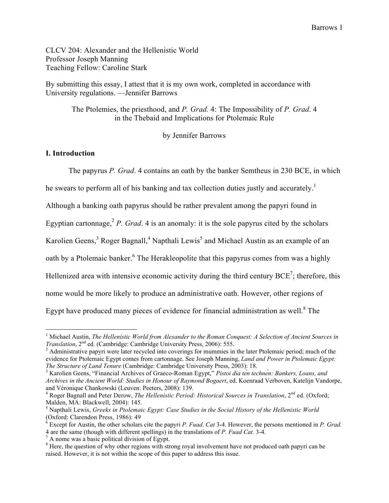CLCV 204: Alexander and the Hellenistic World Professor Joseph Manning Teaching Fellow: Caroline Stark

By submitting this essay, I attest that it is my own work, completed in accordance with University regulations. —Jennifer Barrows

The Ptolemies, the priesthood, and *P. Grad.* 4: The Impossibility of *P. Grad*. 4 in the Thebaid and Implications for Ptolemaic Rule

by Jennifer Barrows

# **I. Introduction**

The papyrus *P. Grad*. 4 contains an oath by the banker Semtheus in 230 BCE, in which he swears to perform all of his banking and tax collection duties justly and accurately.<sup>1</sup> Although a banking oath papyrus should be rather prevalent among the papyri found in Egyptian cartonnage, <sup>2</sup> *P. Grad*. 4 is an anomaly: it is the sole papyrus cited by the scholars Karolien Geens,<sup>3</sup> Roger Bagnall,<sup>4</sup> Napthali Lewis<sup>5</sup> and Michael Austin as an example of an oath by a Ptolemaic banker.<sup>6</sup> The Herakleopolite that this papyrus comes from was a highly Hellenized area with intensive economic activity during the third century  $BCE^7$ ; therefore, this nome would be more likely to produce an administrative oath. However, other regions of Egypt have produced many pieces of evidence for financial administration as well. $^8$  The

 <sup>1</sup> Michael Austin, *The Hellenistic World from Alexander to the Roman Conquest: <sup>A</sup> Selection of Ancient Sources in Translation*, 2<sup>nd</sup> ed. (Cambridge: Cambridge University Press, 2006): 555.<br><sup>2</sup> Administrative papyri were later recycled into coverings for mummies in the later Ptolemaic period; much of the

evidence for Ptolemaic Egypt comes from cartonnage. See Joseph Manning, *Land and Power in Ptolemaic Egypt:* The Structure of Land Tenure (Cambridge: Cambridge University Press, 2003): 18.<br><sup>3</sup> Karolien Geens, "Financial Archives of Graeco-Roman Egypt," *Pistoi dia ten technen: Bankers, Loans, and* 

*Archives in the Ancient World: Studies in Honour of Raymond Bogaert*, ed. Koenraad Verboven, Katelijn Vandorpe,

<sup>&</sup>lt;sup>4</sup> Roger Bagnall and Peter Derow, *The Hellenistic Period: Historical Sources in Translation*, 2<sup>nd</sup> ed. (Oxford; Malden, MA: Blackwell, 2004): 145.<br><sup>5</sup> Napthali Lewis, *Greeks in Ptolemaic Egypt: Case Studies in the Social History of the Hellenistic World* 

<sup>(</sup>Oxford: Clarendon Press, 1986): 49<br><sup>6</sup> Except for Austin, the other scholars cite the papyri *P. Fuad. Cat* 3-4. However, the persons mentioned in *P. Grad.* 

<sup>4</sup> are the same (though with different spellings) in the translations of *P. Fuad Cat.* 3-4.<br><sup>7</sup> A nome was a basic political division of Egypt.<br><sup>8</sup> Here, the question of why other regions with strong royal involvement hav

raised. However, it is not within the scope of this paper to address this issue.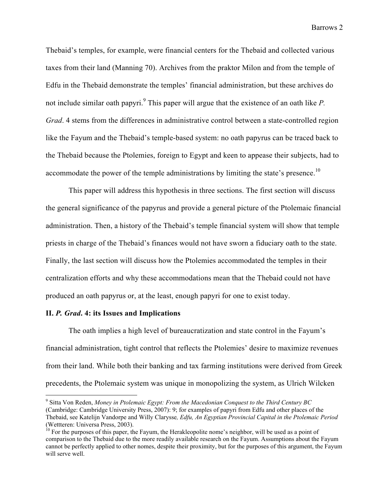Thebaid's temples, for example, were financial centers for the Thebaid and collected various taxes from their land (Manning 70). Archives from the praktor Milon and from the temple of Edfu in the Thebaid demonstrate the temples' financial administration, but these archives do not include similar oath papyri. <sup>9</sup> This paper will argue that the existence of an oath like *P. Grad*. 4 stems from the differences in administrative control between a state-controlled region like the Fayum and the Thebaid's temple-based system: no oath papyrus can be traced back to the Thebaid because the Ptolemies, foreign to Egypt and keen to appease their subjects, had to accommodate the power of the temple administrations by limiting the state's presence.<sup>10</sup>

This paper will address this hypothesis in three sections. The first section will discuss the general significance of the papyrus and provide a general picture of the Ptolemaic financial administration. Then, a history of the Thebaid's temple financial system will show that temple priests in charge of the Thebaid's finances would not have sworn a fiduciary oath to the state. Finally, the last section will discuss how the Ptolemies accommodated the temples in their centralization efforts and why these accommodations mean that the Thebaid could not have produced an oath papyrus or, at the least, enough papyri for one to exist today.

### **II.** *P. Grad***. 4: its Issues and Implications**

The oath implies a high level of bureaucratization and state control in the Fayum's financial administration, tight control that reflects the Ptolemies' desire to maximize revenues from their land. While both their banking and tax farming institutions were derived from Greek precedents, the Ptolemaic system was unique in monopolizing the system, as Ulrich Wilcken

 <sup>9</sup> Sitta Von Reden, *Money in Ptolemaic Egypt: From the Macedonian Conquest to the Third Century BC* (Cambridge: Cambridge University Press, 2007): 9; for examples of papyri from Edfu and other places of the Thebaid, see Katelijn Vandorpe and Willy Clarysse*, Edfu, An Egyptian Provincial Capital in the Ptolemaic Period* (Wettteren: Universa Press, 2003).<br><sup>10</sup> For the purposes of this paper, the Fayum, the Herakleopolite nome's neighbor, will be used as a point of

comparison to the Thebaid due to the more readily available research on the Fayum. Assumptions about the Fayum cannot be perfectly applied to other nomes, despite their proximity, but for the purposes of this argument, the Fayum will serve well.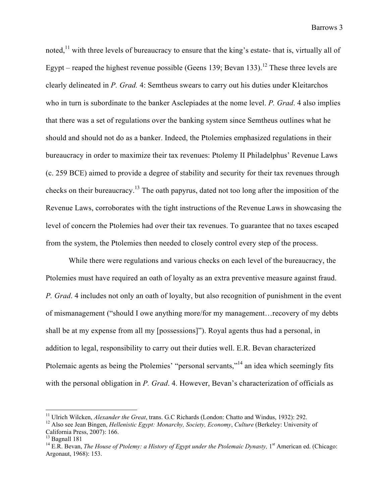noted,<sup>11</sup> with three levels of bureaucracy to ensure that the king's estate- that is, virtually all of Egypt – reaped the highest revenue possible (Geens 139; Bevan 133).<sup>12</sup> These three levels are clearly delineated in *P. Grad.* 4: Semtheus swears to carry out his duties under Kleitarchos who in turn is subordinate to the banker Asclepiades at the nome level. *P. Grad*. 4 also implies that there was a set of regulations over the banking system since Semtheus outlines what he should and should not do as a banker. Indeed, the Ptolemies emphasized regulations in their bureaucracy in order to maximize their tax revenues: Ptolemy II Philadelphus' Revenue Laws (c. 259 BCE) aimed to provide a degree of stability and security for their tax revenues through checks on their bureaucracy. <sup>13</sup> The oath papyrus, dated not too long after the imposition of the Revenue Laws, corroborates with the tight instructions of the Revenue Laws in showcasing the level of concern the Ptolemies had over their tax revenues. To guarantee that no taxes escaped from the system, the Ptolemies then needed to closely control every step of the process.

While there were regulations and various checks on each level of the bureaucracy, the Ptolemies must have required an oath of loyalty as an extra preventive measure against fraud. *P. Grad*. 4 includes not only an oath of loyalty, but also recognition of punishment in the event of mismanagement ("should I owe anything more/for my management…recovery of my debts shall be at my expense from all my [possessions]"). Royal agents thus had a personal, in addition to legal, responsibility to carry out their duties well. E.R. Bevan characterized Ptolemaic agents as being the Ptolemies' "personal servants,"<sup>14</sup> an idea which seemingly fits with the personal obligation in *P. Grad*. 4. However, Bevan's characterization of officials as

<sup>&</sup>lt;sup>11</sup> Ulrich Wilcken, *Alexander the Great*, trans. G.C Richards (London: Chatto and Windus, 1932): 292.<br><sup>12</sup> Also see Jean Bingen, *Hellenistic Egypt: Monarchy, Society, Economy, Culture* (Berkeley: University of Californ California Press, 2007): 166.<br><sup>13</sup> Bagnall 181<br><sup>14</sup> E.R. Bevan, *The House of Ptolemy: a History of Egypt under the Ptolemaic Dynasty,* 1<sup>st</sup> American ed. (Chicago:

Argonaut, 1968): 153.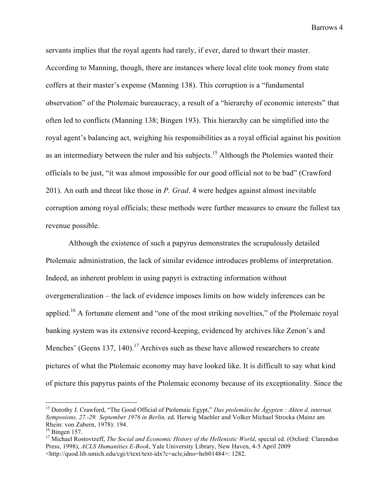servants implies that the royal agents had rarely, if ever, dared to thwart their master. According to Manning, though, there are instances where local elite took money from state coffers at their master's expense (Manning 138). This corruption is a "fundamental observation" of the Ptolemaic bureaucracy, a result of a "hierarchy of economic interests" that often led to conflicts (Manning 138; Bingen 193). This hierarchy can be simplified into the royal agent's balancing act, weighing his responsibilities as a royal official against his position as an intermediary between the ruler and his subjects.<sup>15</sup> Although the Ptolemies wanted their officials to be just, "it was almost impossible for our good official not to be bad" (Crawford 201). An oath and threat like those in *P. Grad*. 4 were hedges against almost inevitable corruption among royal officials; these methods were further measures to ensure the fullest tax revenue possible.

Although the existence of such a papyrus demonstrates the scrupulously detailed Ptolemaic administration, the lack of similar evidence introduces problems of interpretation. Indeed, an inherent problem in using papyri is extracting information without overgeneralization – the lack of evidence imposes limits on how widely inferences can be applied.<sup>16</sup> A fortunate element and "one of the most striking novelties," of the Ptolemaic royal banking system was its extensive record-keeping, evidenced by archives like Zenon's and Menches' (Geens 137, 140).<sup>17</sup> Archives such as these have allowed researchers to create pictures of what the Ptolemaic economy may have looked like. It is difficult to say what kind of picture this papyrus paints of the Ptolemaic economy because of its exceptionality. Since the

 <sup>15</sup> Dorothy J. Crawford, "The Good Official of Ptolemaic Egypt," *Das ptolemäische Ägypten : Akten d. internat. Symposions, 27.-29. September 1976 in Berlin,* ed. Herwig Maehler and Volker Michael Strocka (Mainz am Rhein: von Zabern, 1978): 194.<br><sup>16</sup> Bingen 157.<br><sup>17</sup> Michael Rostovtzeff, *The Social and Economic History of the Hellenistic <i>World*, special ed. (Oxford: Clarendon

Press, 1998), *ACLS Humanities E-Book*, Yale University Library, New Haven, 4-5 April 2009 <http://quod.lib.umich.edu/cgi/t/text/text-idx?c=acls;idno=heb01484>: 1282.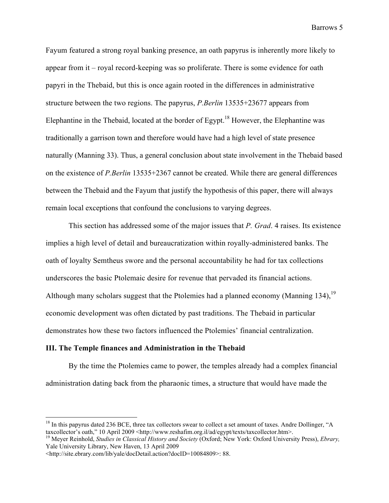Fayum featured a strong royal banking presence, an oath papyrus is inherently more likely to appear from it – royal record-keeping was so proliferate. There is some evidence for oath papyri in the Thebaid, but this is once again rooted in the differences in administrative structure between the two regions. The papyrus, *P.Berlin* 13535+23677 appears from Elephantine in the Thebaid, located at the border of Egypt.<sup>18</sup> However, the Elephantine was traditionally a garrison town and therefore would have had a high level of state presence naturally (Manning 33). Thus, a general conclusion about state involvement in the Thebaid based on the existence of *P.Berlin* 13535+2367 cannot be created. While there are general differences between the Thebaid and the Fayum that justify the hypothesis of this paper, there will always remain local exceptions that confound the conclusions to varying degrees.

This section has addressed some of the major issues that *P. Grad*. 4 raises. Its existence implies a high level of detail and bureaucratization within royally-administered banks. The oath of loyalty Semtheus swore and the personal accountability he had for tax collections underscores the basic Ptolemaic desire for revenue that pervaded its financial actions. Although many scholars suggest that the Ptolemies had a planned economy (Manning 134),  $^{19}$ economic development was often dictated by past traditions. The Thebaid in particular demonstrates how these two factors influenced the Ptolemies' financial centralization.

#### **III. The Temple finances and Administration in the Thebaid**

By the time the Ptolemies came to power, the temples already had a complex financial administration dating back from the pharaonic times, a structure that would have made the

<sup>&</sup>lt;sup>18</sup> In this papyrus dated 236 BCE, three tax collectors swear to collect a set amount of taxes. Andre Dollinger, "A taxcollector's oath," 10 April 2009 <http://www.reshafim.org.il/ad/egypt/texts/taxcollector.htm>.

<sup>&</sup>lt;sup>19</sup> Meyer Reinhold, *Studies in Classical History and Society* (Oxford; New York; Oxford University Press), *Ebrary*, Yale University Library, New Haven, 13 April 2009

<sup>&</sup>lt;http://site.ebrary.com/lib/yale/docDetail.action?docID=10084809>: 88.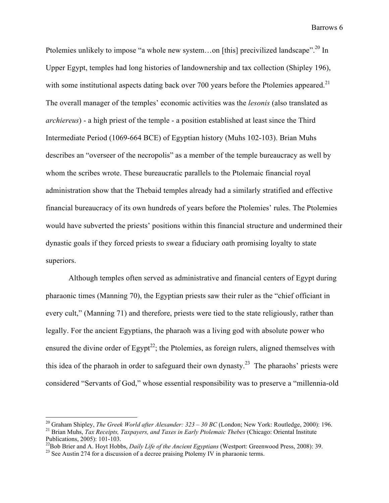Ptolemies unlikely to impose "a whole new system...on [this] precivilized landscape".<sup>20</sup> In Upper Egypt, temples had long histories of landownership and tax collection (Shipley 196), with some institutional aspects dating back over 700 years before the Ptolemies appeared.<sup>21</sup> The overall manager of the temples' economic activities was the *lesonis* (also translated as *archiereus*) - a high priest of the temple - a position established at least since the Third Intermediate Period (1069-664 BCE) of Egyptian history (Muhs 102-103). Brian Muhs describes an "overseer of the necropolis" as a member of the temple bureaucracy as well by whom the scribes wrote. These bureaucratic parallels to the Ptolemaic financial royal administration show that the Thebaid temples already had a similarly stratified and effective financial bureaucracy of its own hundreds of years before the Ptolemies' rules. The Ptolemies would have subverted the priests' positions within this financial structure and undermined their dynastic goals if they forced priests to swear a fiduciary oath promising loyalty to state superiors.

Although temples often served as administrative and financial centers of Egypt during pharaonic times (Manning 70), the Egyptian priests saw their ruler as the "chief officiant in every cult," (Manning 71) and therefore, priests were tied to the state religiously, rather than legally. For the ancient Egyptians, the pharaoh was a living god with absolute power who ensured the divine order of Egypt<sup>22</sup>; the Ptolemies, as foreign rulers, aligned themselves with this idea of the pharaoh in order to safeguard their own dynasty.<sup>23</sup> The pharaohs' priests were considered "Servants of God," whose essential responsibility was to preserve a "millennia-old

<sup>&</sup>lt;sup>20</sup> Graham Shipley, *The Greek World after Alexander:*  $323 - 30$  *BC* (London; New York: Routledge, 2000): 196.<br><sup>21</sup> Brian Muhs, *Tax Receipts, Taxpayers, and Taxes in Early Ptolemaic Thebes* (Chicago: Oriental Institute

<sup>&</sup>lt;sup>22</sup>Bob Brier and A. Hoyt Hobbs, *Daily Life of the Ancient Egyptians* (Westport: Greenwood Press, 2008): 39.<br><sup>23</sup> See Austin 274 for a discussion of a decree praising Ptolemy IV in pharaonic terms.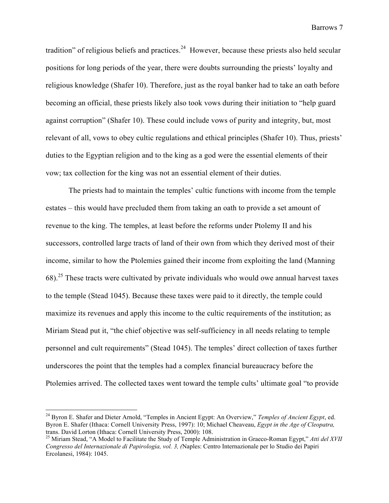tradition" of religious beliefs and practices.<sup>24</sup> However, because these priests also held secular positions for long periods of the year, there were doubts surrounding the priests' loyalty and religious knowledge (Shafer 10). Therefore, just as the royal banker had to take an oath before becoming an official, these priests likely also took vows during their initiation to "help guard against corruption" (Shafer 10). These could include vows of purity and integrity, but, most relevant of all, vows to obey cultic regulations and ethical principles (Shafer 10). Thus, priests' duties to the Egyptian religion and to the king as a god were the essential elements of their vow; tax collection for the king was not an essential element of their duties.

The priests had to maintain the temples' cultic functions with income from the temple estates – this would have precluded them from taking an oath to provide a set amount of revenue to the king. The temples, at least before the reforms under Ptolemy II and his successors, controlled large tracts of land of their own from which they derived most of their income, similar to how the Ptolemies gained their income from exploiting the land (Manning  $68$ ).<sup>25</sup> These tracts were cultivated by private individuals who would owe annual harvest taxes to the temple (Stead 1045). Because these taxes were paid to it directly, the temple could maximize its revenues and apply this income to the cultic requirements of the institution; as Miriam Stead put it, "the chief objective was self-sufficiency in all needs relating to temple personnel and cult requirements" (Stead 1045). The temples' direct collection of taxes further underscores the point that the temples had a complex financial bureaucracy before the Ptolemies arrived. The collected taxes went toward the temple cults' ultimate goal "to provide

 <sup>24</sup> Byron E. Shafer and Dieter Arnold, "Temples in Ancient Egypt: An Overview," *Temples of Ancient Egypt*, ed. Byron E. Shafer (Ithaca: Cornell University Press, 1997): 10; Michael Cheaveau, *Egypt in the Age of Cleopatra,* trans. David Lorton (Ithaca: Cornell University Press, 2000): 108. <sup>25</sup> Miriam Stead, "A Model to Facilitate the Study of Temple Administration in Graeco-Roman Egypt," *Atti del XVII*

*Congresso del Internazionale di Papirologia, vol. 3, (*Naples: Centro Internazionale per lo Studio dei Papiri Ercolanesi, 1984): 1045.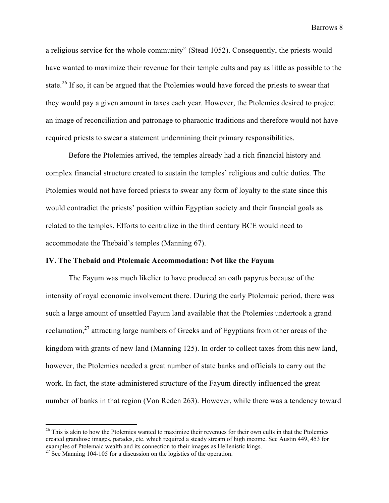a religious service for the whole community" (Stead 1052). Consequently, the priests would have wanted to maximize their revenue for their temple cults and pay as little as possible to the state.<sup>26</sup> If so, it can be argued that the Ptolemies would have forced the priests to swear that they would pay a given amount in taxes each year. However, the Ptolemies desired to project an image of reconciliation and patronage to pharaonic traditions and therefore would not have required priests to swear a statement undermining their primary responsibilities.

Before the Ptolemies arrived, the temples already had a rich financial history and complex financial structure created to sustain the temples' religious and cultic duties. The Ptolemies would not have forced priests to swear any form of loyalty to the state since this would contradict the priests' position within Egyptian society and their financial goals as related to the temples. Efforts to centralize in the third century BCE would need to accommodate the Thebaid's temples (Manning 67).

### **IV. The Thebaid and Ptolemaic Accommodation: Not like the Fayum**

The Fayum was much likelier to have produced an oath papyrus because of the intensity of royal economic involvement there. During the early Ptolemaic period, there was such a large amount of unsettled Fayum land available that the Ptolemies undertook a grand reclamation,<sup>27</sup> attracting large numbers of Greeks and of Egyptians from other areas of the kingdom with grants of new land (Manning 125). In order to collect taxes from this new land, however, the Ptolemies needed a great number of state banks and officials to carry out the work. In fact, the state-administered structure of the Fayum directly influenced the great number of banks in that region (Von Reden 263). However, while there was a tendency toward

 $26$  This is akin to how the Ptolemies wanted to maximize their revenues for their own cults in that the Ptolemies created grandiose images, parades, etc. which required a steady stream of high income. See Austin 449, 453 for examples of Ptolemaic wealth and its connection to their images as Hellenistic kings. <sup>27</sup> See Manning 104-105 for a discussion on the logistics of the operation.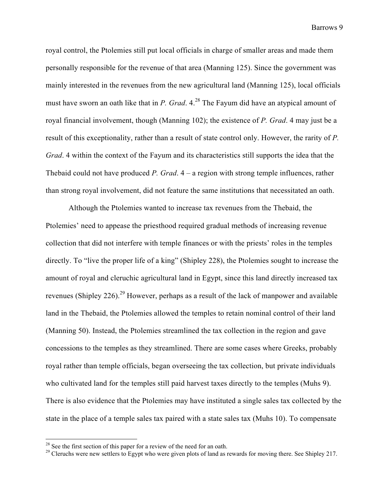royal control, the Ptolemies still put local officials in charge of smaller areas and made them personally responsible for the revenue of that area (Manning 125). Since the government was mainly interested in the revenues from the new agricultural land (Manning 125), local officials must have sworn an oath like that in *P. Grad*. 4. <sup>28</sup> The Fayum did have an atypical amount of royal financial involvement, though (Manning 102); the existence of *P. Grad*. 4 may just be a result of this exceptionality, rather than a result of state control only. However, the rarity of *P. Grad*. 4 within the context of the Fayum and its characteristics still supports the idea that the Thebaid could not have produced *P. Grad*. 4 – a region with strong temple influences, rather than strong royal involvement, did not feature the same institutions that necessitated an oath.

Although the Ptolemies wanted to increase tax revenues from the Thebaid, the Ptolemies' need to appease the priesthood required gradual methods of increasing revenue collection that did not interfere with temple finances or with the priests' roles in the temples directly. To "live the proper life of a king" (Shipley 228), the Ptolemies sought to increase the amount of royal and cleruchic agricultural land in Egypt, since this land directly increased tax revenues (Shipley 226).<sup>29</sup> However, perhaps as a result of the lack of manpower and available land in the Thebaid, the Ptolemies allowed the temples to retain nominal control of their land (Manning 50). Instead, the Ptolemies streamlined the tax collection in the region and gave concessions to the temples as they streamlined. There are some cases where Greeks, probably royal rather than temple officials, began overseeing the tax collection, but private individuals who cultivated land for the temples still paid harvest taxes directly to the temples (Muhs 9). There is also evidence that the Ptolemies may have instituted a single sales tax collected by the state in the place of a temple sales tax paired with a state sales tax (Muhs 10). To compensate

<sup>&</sup>lt;sup>28</sup> See the first section of this paper for a review of the need for an oath.<br><sup>29</sup> Cleruchs were new settlers to Egypt who were given plots of land as rewards for moving there. See Shipley 217.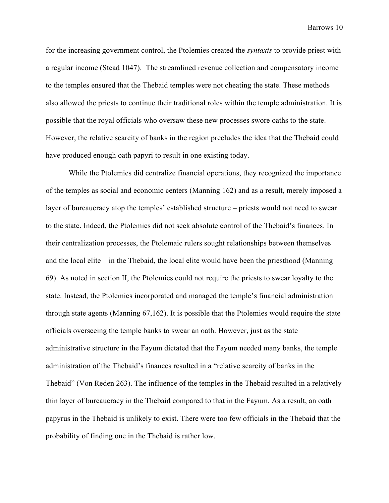for the increasing government control, the Ptolemies created the *syntaxis* to provide priest with a regular income (Stead 1047). The streamlined revenue collection and compensatory income to the temples ensured that the Thebaid temples were not cheating the state. These methods also allowed the priests to continue their traditional roles within the temple administration. It is possible that the royal officials who oversaw these new processes swore oaths to the state. However, the relative scarcity of banks in the region precludes the idea that the Thebaid could have produced enough oath papyri to result in one existing today.

While the Ptolemies did centralize financial operations, they recognized the importance of the temples as social and economic centers (Manning 162) and as a result, merely imposed a layer of bureaucracy atop the temples' established structure – priests would not need to swear to the state. Indeed, the Ptolemies did not seek absolute control of the Thebaid's finances. In their centralization processes, the Ptolemaic rulers sought relationships between themselves and the local elite – in the Thebaid, the local elite would have been the priesthood (Manning 69). As noted in section II, the Ptolemies could not require the priests to swear loyalty to the state. Instead, the Ptolemies incorporated and managed the temple's financial administration through state agents (Manning 67,162). It is possible that the Ptolemies would require the state officials overseeing the temple banks to swear an oath. However, just as the state administrative structure in the Fayum dictated that the Fayum needed many banks, the temple administration of the Thebaid's finances resulted in a "relative scarcity of banks in the Thebaid" (Von Reden 263). The influence of the temples in the Thebaid resulted in a relatively thin layer of bureaucracy in the Thebaid compared to that in the Fayum. As a result, an oath papyrus in the Thebaid is unlikely to exist. There were too few officials in the Thebaid that the probability of finding one in the Thebaid is rather low.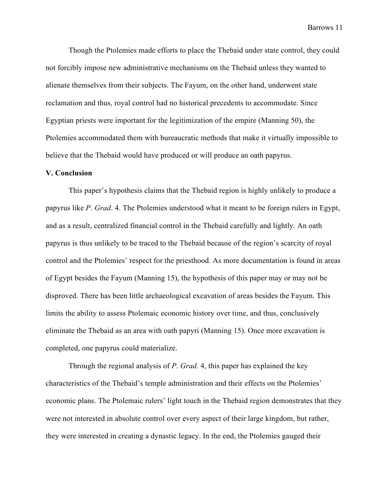Though the Ptolemies made efforts to place the Thebaid under state control, they could not forcibly impose new administrative mechanisms on the Thebaid unless they wanted to alienate themselves from their subjects. The Fayum, on the other hand, underwent state reclamation and thus, royal control had no historical precedents to accommodate. Since Egyptian priests were important for the legitimization of the empire (Manning 50), the Ptolemies accommodated them with bureaucratic methods that make it virtually impossible to believe that the Thebaid would have produced or will produce an oath papyrus.

### **V. Conclusion**

This paper's hypothesis claims that the Thebaid region is highly unlikely to produce a papyrus like *P. Grad*. 4. The Ptolemies understood what it meant to be foreign rulers in Egypt, and as a result, centralized financial control in the Thebaid carefully and lightly. An oath papyrus is thus unlikely to be traced to the Thebaid because of the region's scarcity of royal control and the Ptolemies' respect for the priesthood. As more documentation is found in areas of Egypt besides the Fayum (Manning 15), the hypothesis of this paper may or may not be disproved. There has been little archaeological excavation of areas besides the Fayum. This limits the ability to assess Ptolemaic economic history over time, and thus, conclusively eliminate the Thebaid as an area with oath papyri (Manning 15). Once more excavation is completed, one papyrus could materialize.

Through the regional analysis of *P. Grad.* 4, this paper has explained the key characteristics of the Thebaid's temple administration and their effects on the Ptolemies' economic plans. The Ptolemaic rulers' light touch in the Thebaid region demonstrates that they were not interested in absolute control over every aspect of their large kingdom, but rather, they were interested in creating a dynastic legacy. In the end, the Ptolemies gauged their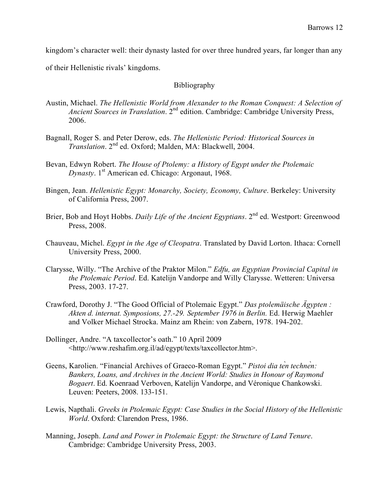kingdom's character well: their dynasty lasted for over three hundred years, far longer than any

of their Hellenistic rivals' kingdoms.

# Bibliography

- Austin, Michael. *The Hellenistic World from Alexander to the Roman Conquest: A Selection of Ancient Sources in Translation*. 2nd edition. Cambridge: Cambridge University Press, 2006.
- Bagnall, Roger S. and Peter Derow, eds. *The Hellenistic Period: Historical Sources in Translation*. 2nd ed. Oxford; Malden, MA: Blackwell, 2004.
- Bevan, Edwyn Robert. *The House of Ptolemy: a History of Egypt under the Ptolemaic* Dynasty. 1<sup>st</sup> American ed. Chicago: Argonaut, 1968.
- Bingen, Jean. *Hellenistic Egypt: Monarchy, Society, Economy, Culture*. Berkeley: University of California Press, 2007.
- Brier, Bob and Hoyt Hobbs. *Daily Life of the Ancient Egyptians*. 2nd ed. Westport: Greenwood Press, 2008.
- Chauveau, Michel. *Egypt in the Age of Cleopatra*. Translated by David Lorton. Ithaca: Cornell University Press, 2000.
- Clarysse, Willy. "The Archive of the Praktor Milon." *Edfu, an Egyptian Provincial Capital in the Ptolemaic Period*. Ed. Katelijn Vandorpe and Willy Clarysse. Wetteren: Universa Press, 2003. 17-27.
- Crawford, Dorothy J. "The Good Official of Ptolemaic Egypt." *Das ptolemäische Ägypten : Akten d. internat. Symposions, 27.-29. September 1976 in Berlin.* Ed. Herwig Maehler and Volker Michael Strocka. Mainz am Rhein: von Zabern, 1978. 194-202.
- Dollinger, Andre. "A taxcollector's oath." 10 April 2009 <http://www.reshafim.org.il/ad/egypt/texts/taxcollector.htm>.
- Geens, Karolien. "Financial Archives of Graeco-Roman Egypt." *Pistoi dia ten technen*: *Bankers, Loans, and Archives in the Ancient World: Studies in Honour of Raymond Bogaert*. Ed. Koenraad Verboven, Katelijn Vandorpe, and Véronique Chankowski. Leuven: Peeters, 2008. 133-151.
- Lewis, Napthali. *Greeks in Ptolemaic Egypt: Case Studies in the Social History of the Hellenistic World*. Oxford: Clarendon Press, 1986.
- Manning, Joseph. *Land and Power in Ptolemaic Egypt: the Structure of Land Tenure*. Cambridge: Cambridge University Press, 2003.